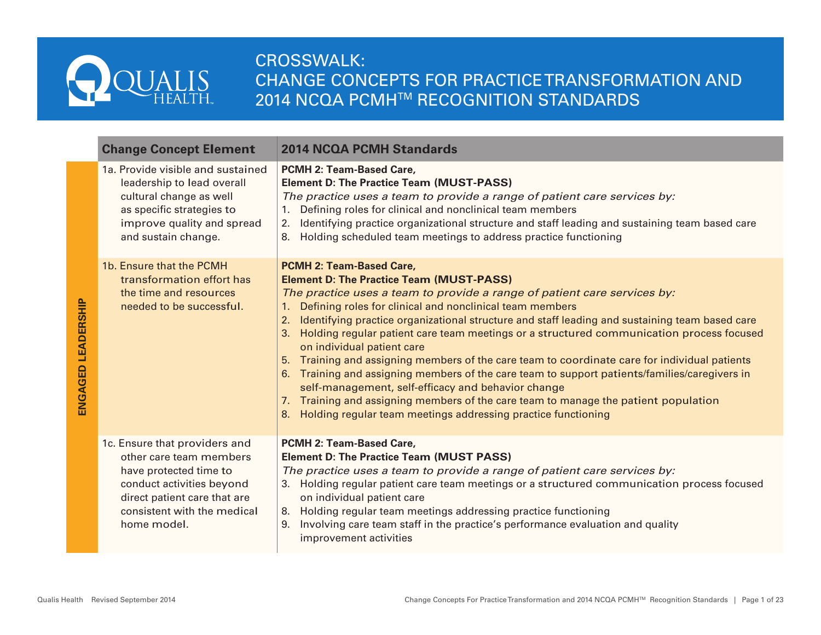

# CROSSWALK: CHANGE CONCEPTS FOR PRACTICE TRANSFORMATION AND 2014 NCQA PCMH™ RECOGNITION STANDARDS

| <b>Change Concept Element</b>                                                                                                                                                                 | <b>2014 NCQA PCMH Standards</b>                                                                                                                                                                                                                                                                                                                                                                                                                                                                                                                                                                                                                                                                                                                                                                                                                                                    |
|-----------------------------------------------------------------------------------------------------------------------------------------------------------------------------------------------|------------------------------------------------------------------------------------------------------------------------------------------------------------------------------------------------------------------------------------------------------------------------------------------------------------------------------------------------------------------------------------------------------------------------------------------------------------------------------------------------------------------------------------------------------------------------------------------------------------------------------------------------------------------------------------------------------------------------------------------------------------------------------------------------------------------------------------------------------------------------------------|
| 1a. Provide visible and sustained<br>leadership to lead overall<br>cultural change as well<br>as specific strategies to<br>improve quality and spread<br>and sustain change.                  | PCMH 2: Team-Based Care,<br><b>Element D: The Practice Team (MUST-PASS)</b><br>The practice uses a team to provide a range of patient care services by:<br>1. Defining roles for clinical and nonclinical team members<br>Identifying practice organizational structure and staff leading and sustaining team based care<br>2.<br>Holding scheduled team meetings to address practice functioning<br>8.                                                                                                                                                                                                                                                                                                                                                                                                                                                                            |
| 1b. Ensure that the PCMH<br>transformation effort has<br>the time and resources<br>needed to be successful.                                                                                   | <b>PCMH 2: Team-Based Care,</b><br><b>Element D: The Practice Team (MUST-PASS)</b><br>The practice uses a team to provide a range of patient care services by:<br>1. Defining roles for clinical and nonclinical team members<br>2. Identifying practice organizational structure and staff leading and sustaining team based care<br>3. Holding regular patient care team meetings or a structured communication process focused<br>on individual patient care<br>5. Training and assigning members of the care team to coordinate care for individual patients<br>6. Training and assigning members of the care team to support patients/families/caregivers in<br>self-management, self-efficacy and behavior change<br>7. Training and assigning members of the care team to manage the patient population<br>8. Holding regular team meetings addressing practice functioning |
| 1c. Ensure that providers and<br>other care team members<br>have protected time to<br>conduct activities beyond<br>direct patient care that are<br>consistent with the medical<br>home model. | PCMH 2: Team-Based Care,<br><b>Element D: The Practice Team (MUST PASS)</b><br>The practice uses a team to provide a range of patient care services by:<br>3. Holding regular patient care team meetings or a structured communication process focused<br>on individual patient care<br>8. Holding regular team meetings addressing practice functioning<br>Involving care team staff in the practice's performance evaluation and quality<br>9.<br>improvement activities                                                                                                                                                                                                                                                                                                                                                                                                         |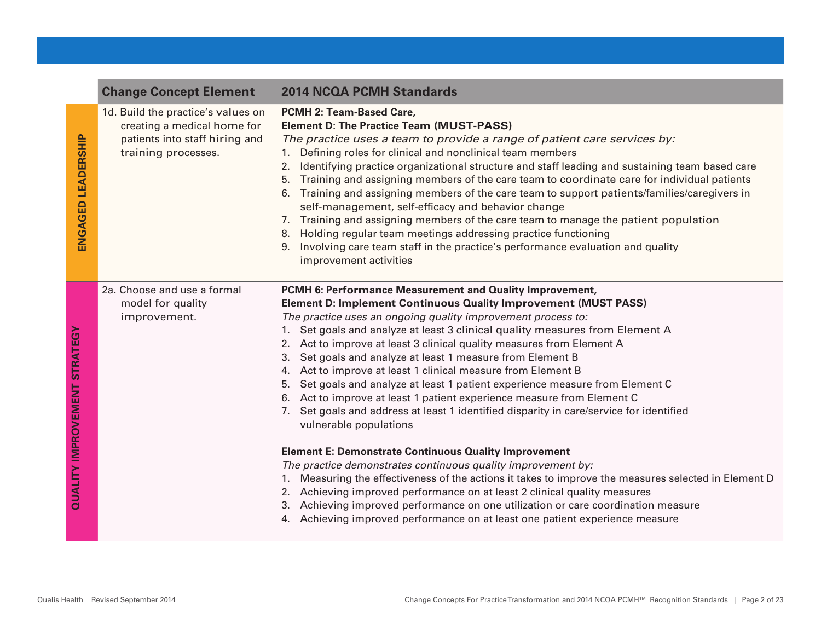|                                     | <b>Change Concept Element</b>                                                                                              | <b>2014 NCQA PCMH Standards</b>                                                                                                                                                                                                                                                                                                                                                                                                                                                                                                                                                                                                                                                                                                                                                                                                                                                                                                                                                                                                                                                                                                                                                                                                                                                    |
|-------------------------------------|----------------------------------------------------------------------------------------------------------------------------|------------------------------------------------------------------------------------------------------------------------------------------------------------------------------------------------------------------------------------------------------------------------------------------------------------------------------------------------------------------------------------------------------------------------------------------------------------------------------------------------------------------------------------------------------------------------------------------------------------------------------------------------------------------------------------------------------------------------------------------------------------------------------------------------------------------------------------------------------------------------------------------------------------------------------------------------------------------------------------------------------------------------------------------------------------------------------------------------------------------------------------------------------------------------------------------------------------------------------------------------------------------------------------|
| ENGAGED LEADERSHIP                  | 1d. Build the practice's values on<br>creating a medical home for<br>patients into staff hiring and<br>training processes. | PCMH 2: Team-Based Care,<br><b>Element D: The Practice Team (MUST-PASS)</b><br>The practice uses a team to provide a range of patient care services by:<br>Defining roles for clinical and nonclinical team members<br>1.<br>Identifying practice organizational structure and staff leading and sustaining team based care<br>2.<br>Training and assigning members of the care team to coordinate care for individual patients<br>5.<br>Training and assigning members of the care team to support patients/families/caregivers in<br>self-management, self-efficacy and behavior change<br>Training and assigning members of the care team to manage the patient population<br>7.<br>Holding regular team meetings addressing practice functioning<br>8.<br>Involving care team staff in the practice's performance evaluation and quality<br>improvement activities                                                                                                                                                                                                                                                                                                                                                                                                             |
| <b>QUALITY IMPROVEMENT STRATEGY</b> | 2a. Choose and use a formal<br>model for quality<br>improvement.                                                           | PCMH 6: Performance Measurement and Quality Improvement,<br><b>Element D: Implement Continuous Quality Improvement (MUST PASS)</b><br>The practice uses an ongoing quality improvement process to:<br>1. Set goals and analyze at least 3 clinical quality measures from Element A<br>Act to improve at least 3 clinical quality measures from Element A<br>2.<br>Set goals and analyze at least 1 measure from Element B<br>3.<br>Act to improve at least 1 clinical measure from Element B<br>4.<br>Set goals and analyze at least 1 patient experience measure from Element C<br>5.<br>Act to improve at least 1 patient experience measure from Element C<br>6.<br>7. Set goals and address at least 1 identified disparity in care/service for identified<br>vulnerable populations<br><b>Element E: Demonstrate Continuous Quality Improvement</b><br>The practice demonstrates continuous quality improvement by:<br>Measuring the effectiveness of the actions it takes to improve the measures selected in Element D<br>Achieving improved performance on at least 2 clinical quality measures<br>2.<br>Achieving improved performance on one utilization or care coordination measure<br>3.<br>Achieving improved performance on at least one patient experience measure |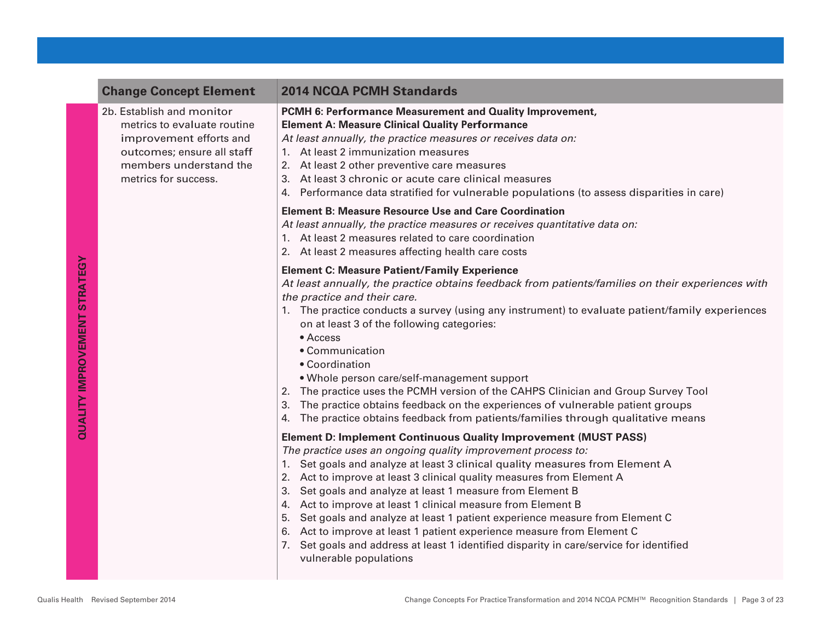2b. Establish and monitor metrics to evaluate routine improvement efforts and outcomes; ensure all staff members understand the metrics for success.

## **Change Concept Element 2014 NCQA PCMH Standards**

#### **PCMH 6: Performance Measurement and Quality Improvement, Element A: Measure Clinical Quality Performance**

*At least annually, the practice measures or receives data on:*

- 1. At least 2 immunization measures
- 2. At least 2 other preventive care measures
- 3. At least 3 chronic or acute care clinical measures
- 4. Performance data stratified for vulnerable populations (to assess disparities in care)

#### **Element B: Measure Resource Use and Care Coordination**

*At least annually, the practice measures or receives quantitative data on:*

- 1. At least 2 measures related to care coordination
- 2. At least 2 measures affecting health care costs

### **Element C: Measure Patient/Family Experience**

*At least annually, the practice obtains feedback from patients/families on their experiences with the practice and their care.*

- 1. The practice conducts a survey (using any instrument) to evaluate patient/family experiences on at least 3 of the following categories:
	- Access
	- Communication
	- Coordination
	- Whole person care/self-management support
- 2. The practice uses the PCMH version of the CAHPS Clinician and Group Survey Tool
- 3. The practice obtains feedback on the experiences of vulnerable patient groups
- 4. The practice obtains feedback from patients/families through qualitative means

### **Element D: Implement Continuous Quality Improvement (MUST PASS)**

*The practice uses an ongoing quality improvement process to:*

- 1. Set goals and analyze at least 3 clinical quality measures from Element A
- 2. Act to improve at least 3 clinical quality measures from Element A
- 3. Set goals and analyze at least 1 measure from Element B
- 4. Act to improve at least 1 clinical measure from Element B
- 5. Set goals and analyze at least 1 patient experience measure from Element C
- 6. Act to improve at least 1 patient experience measure from Element C
- 7. Set goals and address at least 1 identified disparity in care/service for identified vulnerable populations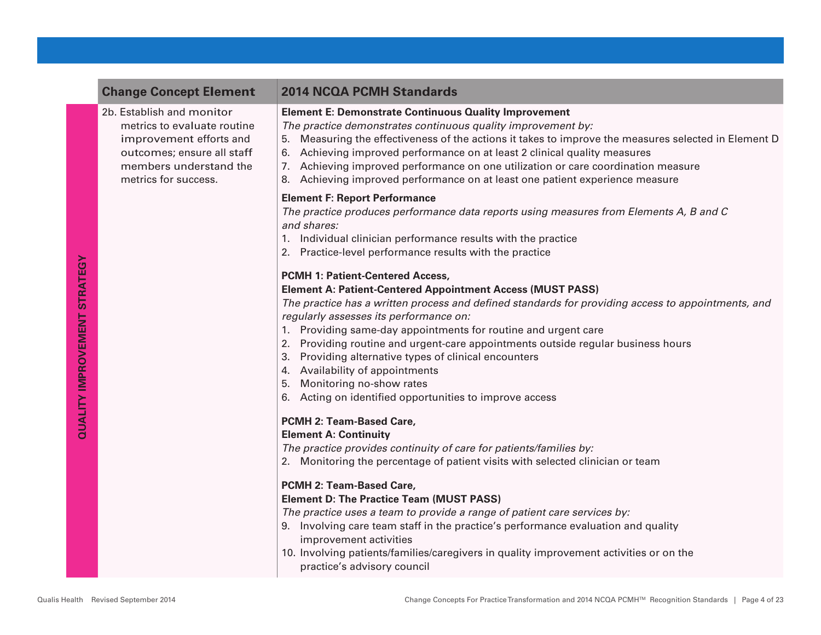## **Change Concept Element 2014 NCQA PCMH Standards**

2b. Establish and monitor metrics to evaluate routine improvement efforts and outcomes; ensure all staff members understand the metrics for success.

#### **Element E: Demonstrate Continuous Quality Improvement**

*The practice demonstrates continuous quality improvement by:*

- 5. Measuring the effectiveness of the actions it takes to improve the measures selected in Element D
- 6. Achieving improved performance on at least 2 clinical quality measures
- 7. Achieving improved performance on one utilization or care coordination measure
- 8. Achieving improved performance on at least one patient experience measure

#### **Element F: Report Performance**

*The practice produces performance data reports using measures from Elements A, B and C and shares:*

- 1. Individual clinician performance results with the practice
- 2. Practice-level performance results with the practice

#### **PCMH 1: Patient-Centered Access,**

#### **Element A: Patient-Centered Appointment Access (MUST PASS)**

*The practice has a written process and defined standards for providing access to appointments, and regularly assesses its performance on:*

- 1. Providing same-day appointments for routine and urgent care
- 2. Providing routine and urgent-care appointments outside regular business hours
- 3. Providing alternative types of clinical encounters
- 4. Availability of appointments
- 5. Monitoring no-show rates
- 6. Acting on identified opportunities to improve access

### **PCMH 2: Team-Based Care,**

#### **Element A: Continuity**

*The practice provides continuity of care for patients/families by:*

2. Monitoring the percentage of patient visits with selected clinician or team

#### **PCMH 2: Team-Based Care,**

#### **Element D: The Practice Team (MUST PASS)**

*The practice uses a team to provide a range of patient care services by:*

- 9. Involving care team staff in the practice's performance evaluation and quality improvement activities
- 10. Involving patients/families/caregivers in quality improvement activities or on the practice's advisory council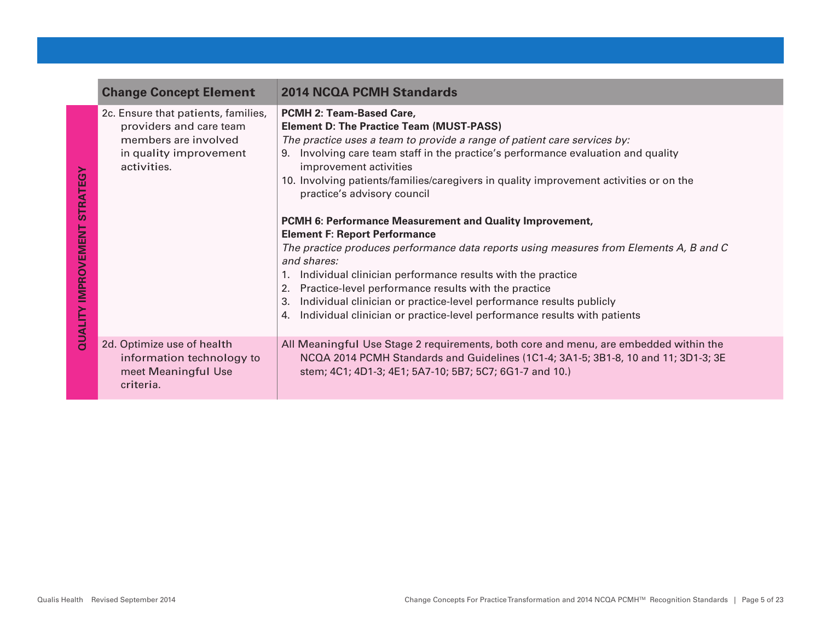| <b>Change Concept Element</b>                                                                                                   | <b>2014 NCQA PCMH Standards</b>                                                                                                                                                                                                                                                                                                                                                                                                                                                                                                                                                                                                                                                                                                                                                                                                                                                                            |
|---------------------------------------------------------------------------------------------------------------------------------|------------------------------------------------------------------------------------------------------------------------------------------------------------------------------------------------------------------------------------------------------------------------------------------------------------------------------------------------------------------------------------------------------------------------------------------------------------------------------------------------------------------------------------------------------------------------------------------------------------------------------------------------------------------------------------------------------------------------------------------------------------------------------------------------------------------------------------------------------------------------------------------------------------|
| 2c. Ensure that patients, families,<br>providers and care team<br>members are involved<br>in quality improvement<br>activities. | PCMH 2: Team-Based Care,<br><b>Element D: The Practice Team (MUST-PASS)</b><br>The practice uses a team to provide a range of patient care services by:<br>Involving care team staff in the practice's performance evaluation and quality<br>9.<br>improvement activities<br>10. Involving patients/families/caregivers in quality improvement activities or on the<br>practice's advisory council<br>PCMH 6: Performance Measurement and Quality Improvement,<br><b>Element F: Report Performance</b><br>The practice produces performance data reports using measures from Elements A, B and C<br>and shares:<br>Individual clinician performance results with the practice<br>Practice-level performance results with the practice<br>2.<br>Individual clinician or practice-level performance results publicly<br>3.<br>Individual clinician or practice-level performance results with patients<br>4. |
| 2d. Optimize use of health<br>information technology to<br>meet Meaningful Use<br>criteria.                                     | All Meaningful Use Stage 2 requirements, both core and menu, are embedded within the<br>NCQA 2014 PCMH Standards and Guidelines (1C1-4; 3A1-5; 3B1-8, 10 and 11; 3D1-3; 3E<br>stem; 4C1; 4D1-3; 4E1; 5A7-10; 5B7; 5C7; 6G1-7 and 10.)                                                                                                                                                                                                                                                                                                                                                                                                                                                                                                                                                                                                                                                                      |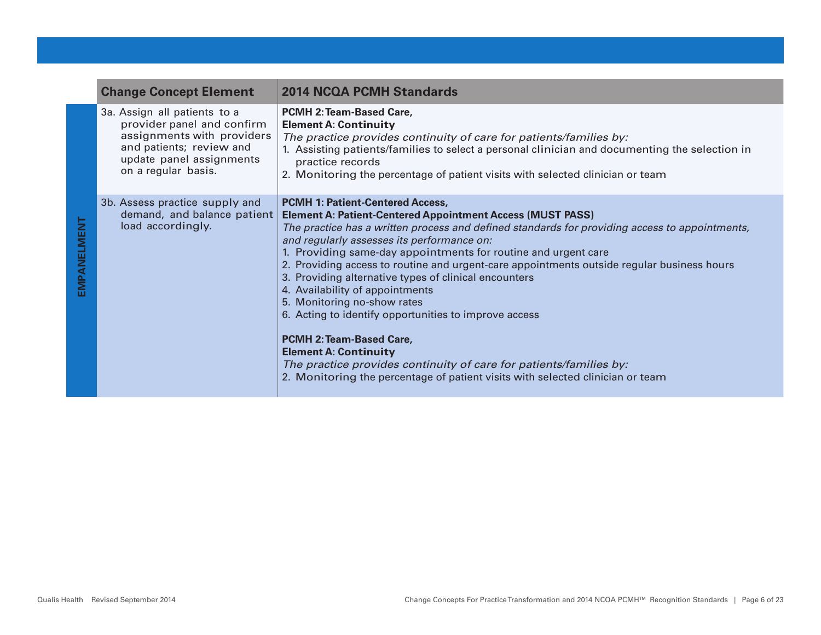| <b>Change Concept Element</b>                                                                                                                                           | <b>2014 NCQA PCMH Standards</b>                                                                                                                                                                                                                                                                                                                                                                                                                                                                                                                                                                                                                                                                                                                                                                                                             |
|-------------------------------------------------------------------------------------------------------------------------------------------------------------------------|---------------------------------------------------------------------------------------------------------------------------------------------------------------------------------------------------------------------------------------------------------------------------------------------------------------------------------------------------------------------------------------------------------------------------------------------------------------------------------------------------------------------------------------------------------------------------------------------------------------------------------------------------------------------------------------------------------------------------------------------------------------------------------------------------------------------------------------------|
| 3a. Assign all patients to a<br>provider panel and confirm<br>assignments with providers<br>and patients; review and<br>update panel assignments<br>on a regular basis. | PCMH 2: Team-Based Care,<br><b>Element A: Continuity</b><br>The practice provides continuity of care for patients/families by:<br>1. Assisting patients/families to select a personal clinician and documenting the selection in<br>practice records<br>2. Monitoring the percentage of patient visits with selected clinician or team                                                                                                                                                                                                                                                                                                                                                                                                                                                                                                      |
| 3b. Assess practice supply and<br>demand, and balance patient<br>load accordingly.                                                                                      | <b>PCMH 1: Patient-Centered Access,</b><br><b>Element A: Patient-Centered Appointment Access (MUST PASS)</b><br>The practice has a written process and defined standards for providing access to appointments,<br>and regularly assesses its performance on:<br>1. Providing same-day appointments for routine and urgent care<br>2. Providing access to routine and urgent-care appointments outside regular business hours<br>3. Providing alternative types of clinical encounters<br>4. Availability of appointments<br>5. Monitoring no-show rates<br>6. Acting to identify opportunities to improve access<br><b>PCMH 2: Team-Based Care,</b><br><b>Element A: Continuity</b><br>The practice provides continuity of care for patients/families by:<br>2. Monitoring the percentage of patient visits with selected clinician or team |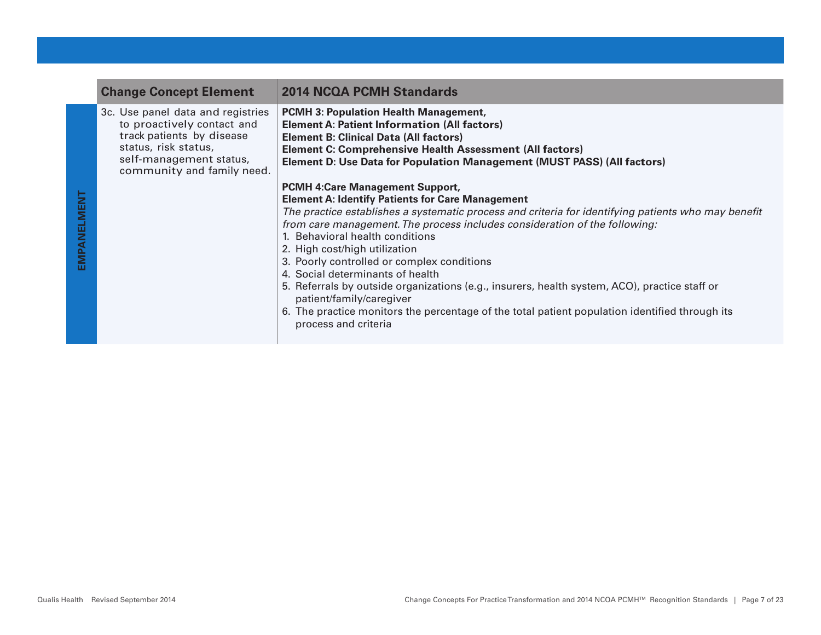| <b>Change Concept Element</b>                                                                                                                                                 | <b>2014 NCQA PCMH Standards</b>                                                                                                                                                                                                                                                                                                                                                                                                                                                                                                                                                                                                                                                                     |
|-------------------------------------------------------------------------------------------------------------------------------------------------------------------------------|-----------------------------------------------------------------------------------------------------------------------------------------------------------------------------------------------------------------------------------------------------------------------------------------------------------------------------------------------------------------------------------------------------------------------------------------------------------------------------------------------------------------------------------------------------------------------------------------------------------------------------------------------------------------------------------------------------|
| 3c. Use panel data and registries<br>to proactively contact and<br>track patients by disease<br>status, risk status,<br>self-management status,<br>community and family need. | <b>PCMH 3: Population Health Management,</b><br><b>Element A: Patient Information (All factors)</b><br><b>Element B: Clinical Data (All factors)</b><br><b>Element C: Comprehensive Health Assessment (All factors)</b><br>Element D: Use Data for Population Management (MUST PASS) (All factors)                                                                                                                                                                                                                                                                                                                                                                                                  |
|                                                                                                                                                                               | <b>PCMH 4:Care Management Support,</b><br><b>Element A: Identify Patients for Care Management</b><br>The practice establishes a systematic process and criteria for identifying patients who may benefit<br>from care management. The process includes consideration of the following:<br>1. Behavioral health conditions<br>2. High cost/high utilization<br>3. Poorly controlled or complex conditions<br>4. Social determinants of health<br>5. Referrals by outside organizations (e.g., insurers, health system, ACO), practice staff or<br>patient/family/caregiver<br>6. The practice monitors the percentage of the total patient population identified through its<br>process and criteria |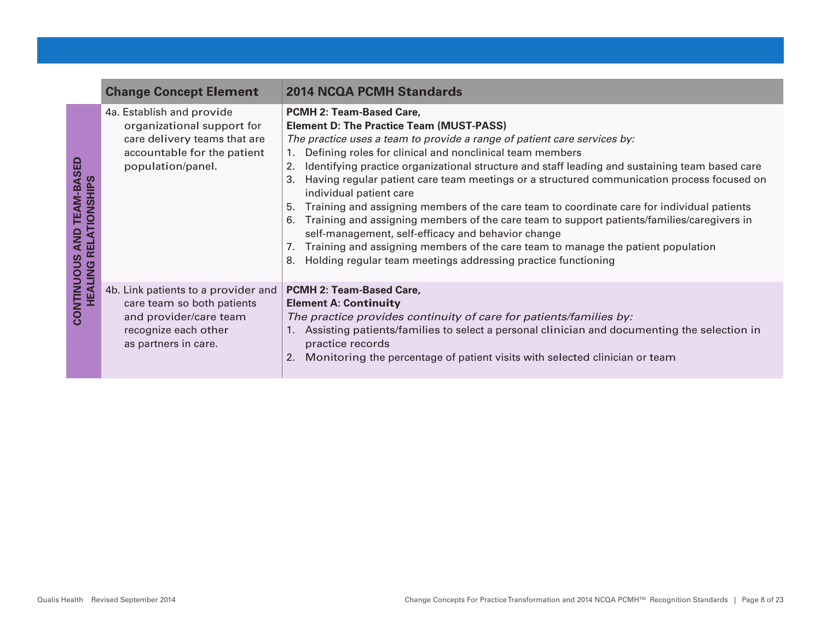|                                                                  | <b>Change Concept Element</b>                                                                                                               | <b>2014 NCQA PCMH Standards</b>                                                                                                                                                                                                                                                                                                                                                                                                                                                                                                                                                                                                                                                                                                                                                                                                                                                                    |
|------------------------------------------------------------------|---------------------------------------------------------------------------------------------------------------------------------------------|----------------------------------------------------------------------------------------------------------------------------------------------------------------------------------------------------------------------------------------------------------------------------------------------------------------------------------------------------------------------------------------------------------------------------------------------------------------------------------------------------------------------------------------------------------------------------------------------------------------------------------------------------------------------------------------------------------------------------------------------------------------------------------------------------------------------------------------------------------------------------------------------------|
| <b>TEAM-BASED</b><br><b>TIONSHIPS</b><br>AND<br>ш<br><b>PINT</b> | 4a. Establish and provide<br>organizational support for<br>care delivery teams that are<br>accountable for the patient<br>population/panel. | PCMH 2: Team-Based Care,<br><b>Element D: The Practice Team (MUST-PASS)</b><br>The practice uses a team to provide a range of patient care services by:<br>Defining roles for clinical and nonclinical team members<br>$1_{\cdot}$<br>Identifying practice organizational structure and staff leading and sustaining team based care<br>2.<br>Having regular patient care team meetings or a structured communication process focused on<br>3.<br>individual patient care<br>Training and assigning members of the care team to coordinate care for individual patients<br>5.<br>Training and assigning members of the care team to support patients/families/caregivers in<br>6.<br>self-management, self-efficacy and behavior change<br>Training and assigning members of the care team to manage the patient population<br>Holding regular team meetings addressing practice functioning<br>8. |
| CONTINUOUS<br>HEAL                                               | 4b. Link patients to a provider and<br>care team so both patients<br>and provider/care team<br>recognize each other<br>as partners in care. | <b>PCMH 2: Team-Based Care,</b><br><b>Element A: Continuity</b><br>The practice provides continuity of care for patients/families by:<br>1. Assisting patients/families to select a personal clinician and documenting the selection in<br>practice records<br>Monitoring the percentage of patient visits with selected clinician or team<br>2.                                                                                                                                                                                                                                                                                                                                                                                                                                                                                                                                                   |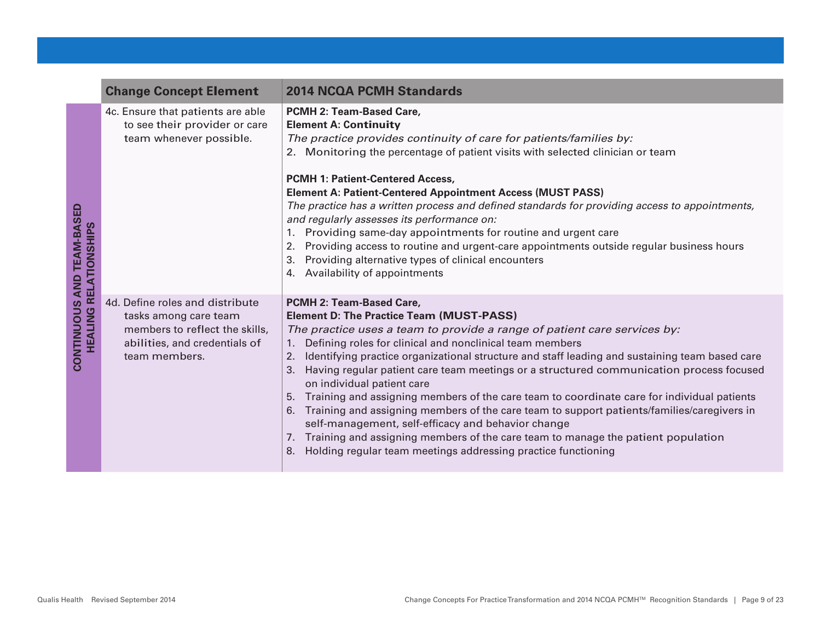|                                                       | <b>Change Concept Element</b>                                                                                                                | <b>2014 NCQA PCMH Standards</b>                                                                                                                                                                                                                                                                                                                                                                                                                                                                                                                                                                                                                                                                                                                                                                                                                                                                 |
|-------------------------------------------------------|----------------------------------------------------------------------------------------------------------------------------------------------|-------------------------------------------------------------------------------------------------------------------------------------------------------------------------------------------------------------------------------------------------------------------------------------------------------------------------------------------------------------------------------------------------------------------------------------------------------------------------------------------------------------------------------------------------------------------------------------------------------------------------------------------------------------------------------------------------------------------------------------------------------------------------------------------------------------------------------------------------------------------------------------------------|
| <b>AND TEAM-BASED</b><br><b>HEALING RELATIONSHIPS</b> | 4c. Ensure that patients are able<br>to see their provider or care<br>team whenever possible.                                                | PCMH 2: Team-Based Care,<br><b>Element A: Continuity</b><br>The practice provides continuity of care for patients/families by:<br>2. Monitoring the percentage of patient visits with selected clinician or team<br><b>PCMH 1: Patient-Centered Access,</b><br><b>Element A: Patient-Centered Appointment Access (MUST PASS)</b><br>The practice has a written process and defined standards for providing access to appointments,<br>and regularly assesses its performance on:<br>1. Providing same-day appointments for routine and urgent care<br>Providing access to routine and urgent-care appointments outside regular business hours<br>2.<br>Providing alternative types of clinical encounters<br>3.<br>4. Availability of appointments                                                                                                                                              |
| CONTINUOUS                                            | 4d. Define roles and distribute<br>tasks among care team<br>members to reflect the skills,<br>abilities, and credentials of<br>team members. | PCMH 2: Team-Based Care,<br><b>Element D: The Practice Team (MUST-PASS)</b><br>The practice uses a team to provide a range of patient care services by:<br>Defining roles for clinical and nonclinical team members<br>1.<br>Identifying practice organizational structure and staff leading and sustaining team based care<br>2.<br>Having regular patient care team meetings or a structured communication process focused<br>3.<br>on individual patient care<br>Training and assigning members of the care team to coordinate care for individual patients<br>5.<br>Training and assigning members of the care team to support patients/families/caregivers in<br>6.<br>self-management, self-efficacy and behavior change<br>Training and assigning members of the care team to manage the patient population<br>7.<br>Holding regular team meetings addressing practice functioning<br>8. |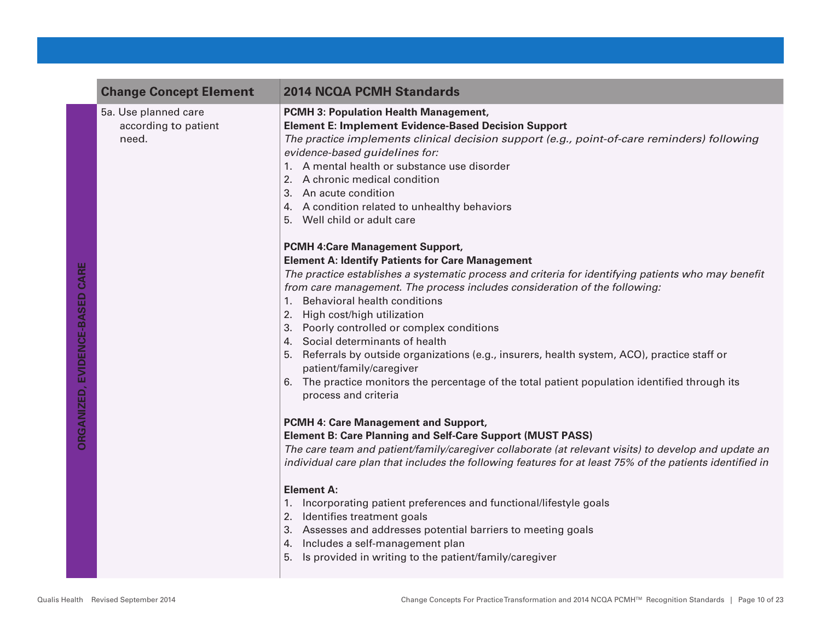| <b>Change Concept Element</b>                         | <b>2014 NCQA PCMH Standards</b>                                                                                                                                                                                                                                                                                                                                                                                                                                                                                                                                                                                                                                                                                                                                                                                                                                                                                                                                                                                                                                                                                                                                                                                                                                                                                                                                                                                                                                                                                                                                                                                                                                                                                                                                                  |
|-------------------------------------------------------|----------------------------------------------------------------------------------------------------------------------------------------------------------------------------------------------------------------------------------------------------------------------------------------------------------------------------------------------------------------------------------------------------------------------------------------------------------------------------------------------------------------------------------------------------------------------------------------------------------------------------------------------------------------------------------------------------------------------------------------------------------------------------------------------------------------------------------------------------------------------------------------------------------------------------------------------------------------------------------------------------------------------------------------------------------------------------------------------------------------------------------------------------------------------------------------------------------------------------------------------------------------------------------------------------------------------------------------------------------------------------------------------------------------------------------------------------------------------------------------------------------------------------------------------------------------------------------------------------------------------------------------------------------------------------------------------------------------------------------------------------------------------------------|
| 5a. Use planned care<br>according to patient<br>need. | <b>PCMH 3: Population Health Management,</b><br><b>Element E: Implement Evidence-Based Decision Support</b><br>The practice implements clinical decision support (e.g., point-of-care reminders) following<br>evidence-based guidelines for:<br>1. A mental health or substance use disorder<br>2. A chronic medical condition<br>3. An acute condition<br>4. A condition related to unhealthy behaviors<br>5. Well child or adult care<br><b>PCMH 4:Care Management Support,</b><br><b>Element A: Identify Patients for Care Management</b><br>The practice establishes a systematic process and criteria for identifying patients who may benefit<br>from care management. The process includes consideration of the following:<br>1. Behavioral health conditions<br>2. High cost/high utilization<br>3. Poorly controlled or complex conditions<br>4. Social determinants of health<br>5. Referrals by outside organizations (e.g., insurers, health system, ACO), practice staff or<br>patient/family/caregiver<br>6. The practice monitors the percentage of the total patient population identified through its<br>process and criteria<br>PCMH 4: Care Management and Support,<br><b>Element B: Care Planning and Self-Care Support (MUST PASS)</b><br>The care team and patient/family/caregiver collaborate (at relevant visits) to develop and update an<br>individual care plan that includes the following features for at least 75% of the patients identified in<br><b>Element A:</b><br>1. Incorporating patient preferences and functional/lifestyle goals<br>2. Identifies treatment goals<br>3. Assesses and addresses potential barriers to meeting goals<br>4. Includes a self-management plan<br>5. Is provided in writing to the patient/family/caregiver |
|                                                       |                                                                                                                                                                                                                                                                                                                                                                                                                                                                                                                                                                                                                                                                                                                                                                                                                                                                                                                                                                                                                                                                                                                                                                                                                                                                                                                                                                                                                                                                                                                                                                                                                                                                                                                                                                                  |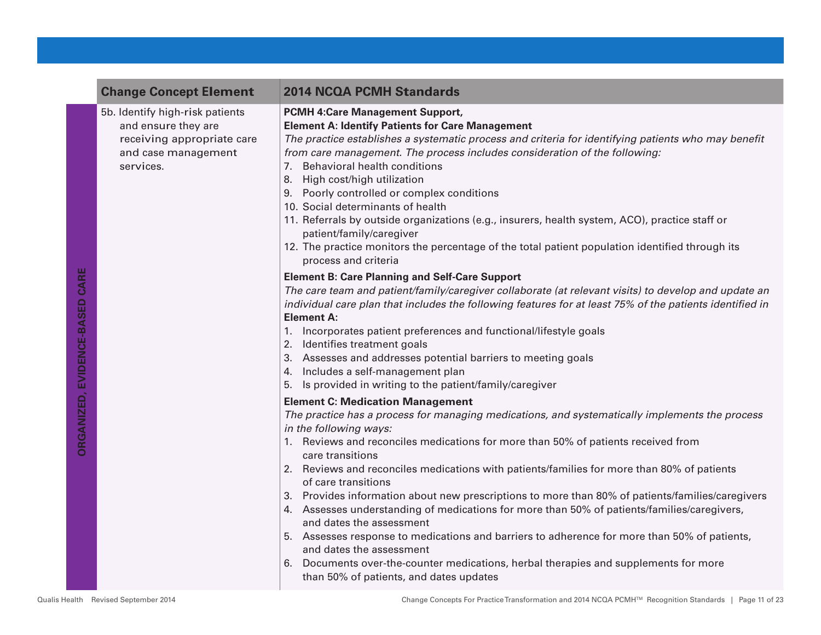| <b>Change Concept Element</b>                                                                                            | <b>2014 NCQA PCMH Standards</b>                                                                                                                                                                                                                                                                                                                                                                                                                                                                                                                                                                                                                                                                                                                                                                                                                                                                    |
|--------------------------------------------------------------------------------------------------------------------------|----------------------------------------------------------------------------------------------------------------------------------------------------------------------------------------------------------------------------------------------------------------------------------------------------------------------------------------------------------------------------------------------------------------------------------------------------------------------------------------------------------------------------------------------------------------------------------------------------------------------------------------------------------------------------------------------------------------------------------------------------------------------------------------------------------------------------------------------------------------------------------------------------|
| 5b. Identify high-risk patients<br>and ensure they are<br>receiving appropriate care<br>and case management<br>services. | <b>PCMH 4:Care Management Support,</b><br><b>Element A: Identify Patients for Care Management</b><br>The practice establishes a systematic process and criteria for identifying patients who may benefit<br>from care management. The process includes consideration of the following:<br>7. Behavioral health conditions<br>8. High cost/high utilization<br>9. Poorly controlled or complex conditions<br>10. Social determinants of health<br>11. Referrals by outside organizations (e.g., insurers, health system, ACO), practice staff or<br>patient/family/caregiver<br>12. The practice monitors the percentage of the total patient population identified through its<br>process and criteria                                                                                                                                                                                             |
|                                                                                                                          | <b>Element B: Care Planning and Self-Care Support</b><br>The care team and patient/family/caregiver collaborate (at relevant visits) to develop and update an<br>individual care plan that includes the following features for at least 75% of the patients identified in<br><b>Element A:</b><br>1. Incorporates patient preferences and functional/lifestyle goals<br>2. Identifies treatment goals<br>3. Assesses and addresses potential barriers to meeting goals<br>4. Includes a self-management plan<br>5. Is provided in writing to the patient/family/caregiver                                                                                                                                                                                                                                                                                                                          |
|                                                                                                                          | <b>Element C: Medication Management</b><br>The practice has a process for managing medications, and systematically implements the process<br>in the following ways:<br>1. Reviews and reconciles medications for more than 50% of patients received from<br>care transitions<br>2. Reviews and reconciles medications with patients/families for more than 80% of patients<br>of care transitions<br>3. Provides information about new prescriptions to more than 80% of patients/families/caregivers<br>4. Assesses understanding of medications for more than 50% of patients/families/caregivers,<br>and dates the assessment<br>5. Assesses response to medications and barriers to adherence for more than 50% of patients,<br>and dates the assessment<br>Documents over-the-counter medications, herbal therapies and supplements for more<br>6.<br>than 50% of patients, and dates updates |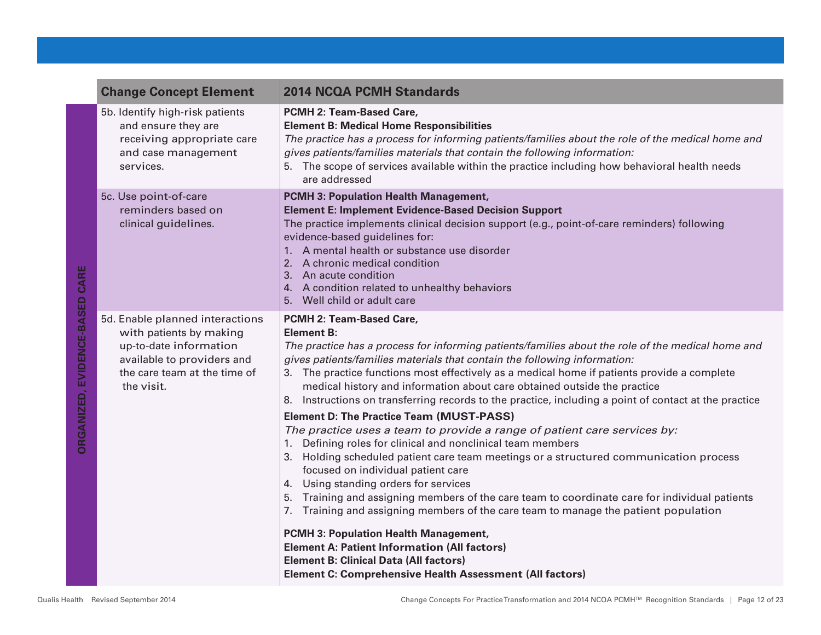| <b>Change Concept Element</b>                                                                                                                                    | <b>2014 NCQA PCMH Standards</b>                                                                                                                                                                                                                                                                                                                                                                                                                                                                                                                                                                                                                                                                                                                                                                                                                                                                                                                                                            |
|------------------------------------------------------------------------------------------------------------------------------------------------------------------|--------------------------------------------------------------------------------------------------------------------------------------------------------------------------------------------------------------------------------------------------------------------------------------------------------------------------------------------------------------------------------------------------------------------------------------------------------------------------------------------------------------------------------------------------------------------------------------------------------------------------------------------------------------------------------------------------------------------------------------------------------------------------------------------------------------------------------------------------------------------------------------------------------------------------------------------------------------------------------------------|
| 5b. Identify high-risk patients<br>and ensure they are<br>receiving appropriate care<br>and case management<br>services.                                         | PCMH 2: Team-Based Care,<br><b>Element B: Medical Home Responsibilities</b><br>The practice has a process for informing patients/families about the role of the medical home and<br>gives patients/families materials that contain the following information:<br>5. The scope of services available within the practice including how behavioral health needs<br>are addressed                                                                                                                                                                                                                                                                                                                                                                                                                                                                                                                                                                                                             |
| 5c. Use point-of-care<br>reminders based on<br>clinical guidelines.                                                                                              | <b>PCMH 3: Population Health Management,</b><br><b>Element E: Implement Evidence-Based Decision Support</b><br>The practice implements clinical decision support (e.g., point-of-care reminders) following<br>evidence-based guidelines for:<br>1. A mental health or substance use disorder<br>2. A chronic medical condition<br>3. An acute condition<br>4. A condition related to unhealthy behaviors<br>5. Well child or adult care                                                                                                                                                                                                                                                                                                                                                                                                                                                                                                                                                    |
| 5d. Enable planned interactions<br>with patients by making<br>up-to-date information<br>available to providers and<br>the care team at the time of<br>the visit. | PCMH 2: Team-Based Care,<br><b>Element B:</b><br>The practice has a process for informing patients/families about the role of the medical home and<br>gives patients/families materials that contain the following information:<br>3. The practice functions most effectively as a medical home if patients provide a complete<br>medical history and information about care obtained outside the practice<br>8. Instructions on transferring records to the practice, including a point of contact at the practice<br><b>Element D: The Practice Team (MUST-PASS)</b><br>The practice uses a team to provide a range of patient care services by:<br>1. Defining roles for clinical and nonclinical team members<br>3. Holding scheduled patient care team meetings or a structured communication process<br>focused on individual patient care<br>4. Using standing orders for services<br>5. Training and assigning members of the care team to coordinate care for individual patients |
|                                                                                                                                                                  | 7. Training and assigning members of the care team to manage the patient population<br><b>PCMH 3: Population Health Management,</b><br><b>Element A: Patient Information (All factors)</b><br><b>Element B: Clinical Data (All factors)</b><br>Element C: Comprehensive Health Assessment (All factors)                                                                                                                                                                                                                                                                                                                                                                                                                                                                                                                                                                                                                                                                                    |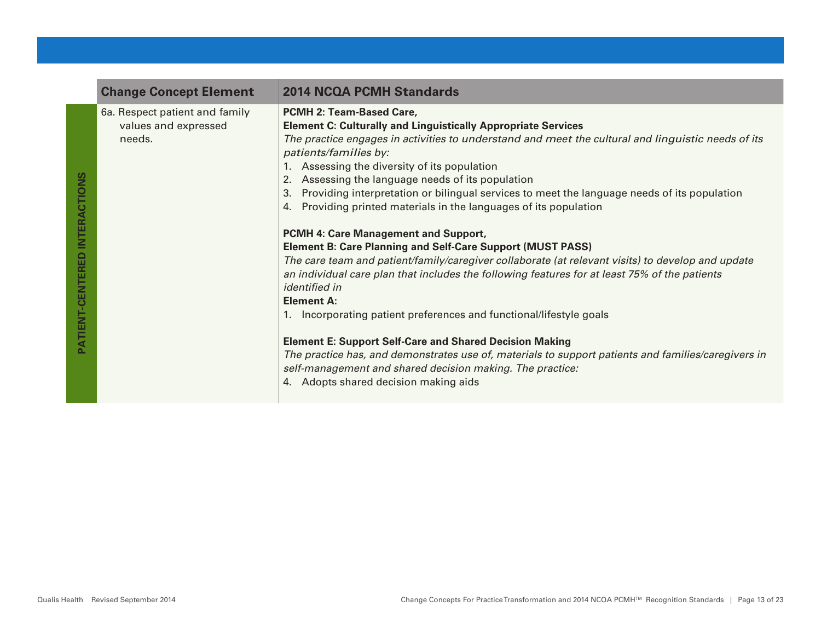| <b>Change Concept Element</b>                                    | <b>2014 NCQA PCMH Standards</b>                                                                                                                                                                                                                                                                                                                                                                                                                                                                                                                                                                                                                                                                                                                                                                                                                                                                                                                                                                                                                                                                                                                                                                                                                 |
|------------------------------------------------------------------|-------------------------------------------------------------------------------------------------------------------------------------------------------------------------------------------------------------------------------------------------------------------------------------------------------------------------------------------------------------------------------------------------------------------------------------------------------------------------------------------------------------------------------------------------------------------------------------------------------------------------------------------------------------------------------------------------------------------------------------------------------------------------------------------------------------------------------------------------------------------------------------------------------------------------------------------------------------------------------------------------------------------------------------------------------------------------------------------------------------------------------------------------------------------------------------------------------------------------------------------------|
| 6a. Respect patient and family<br>values and expressed<br>needs. | <b>PCMH 2: Team-Based Care,</b><br><b>Element C: Culturally and Linguistically Appropriate Services</b><br>The practice engages in activities to understand and meet the cultural and linguistic needs of its<br>patients/families by:<br>1. Assessing the diversity of its population<br>2. Assessing the language needs of its population<br>3. Providing interpretation or bilingual services to meet the language needs of its population<br>4. Providing printed materials in the languages of its population<br><b>PCMH 4: Care Management and Support,</b><br><b>Element B: Care Planning and Self-Care Support (MUST PASS)</b><br>The care team and patient/family/caregiver collaborate (at relevant visits) to develop and update<br>an individual care plan that includes the following features for at least 75% of the patients<br><i>identified in</i><br><b>Element A:</b><br>1. Incorporating patient preferences and functional/lifestyle goals<br><b>Element E: Support Self-Care and Shared Decision Making</b><br>The practice has, and demonstrates use of, materials to support patients and families/caregivers in<br>self-management and shared decision making. The practice:<br>4. Adopts shared decision making aids |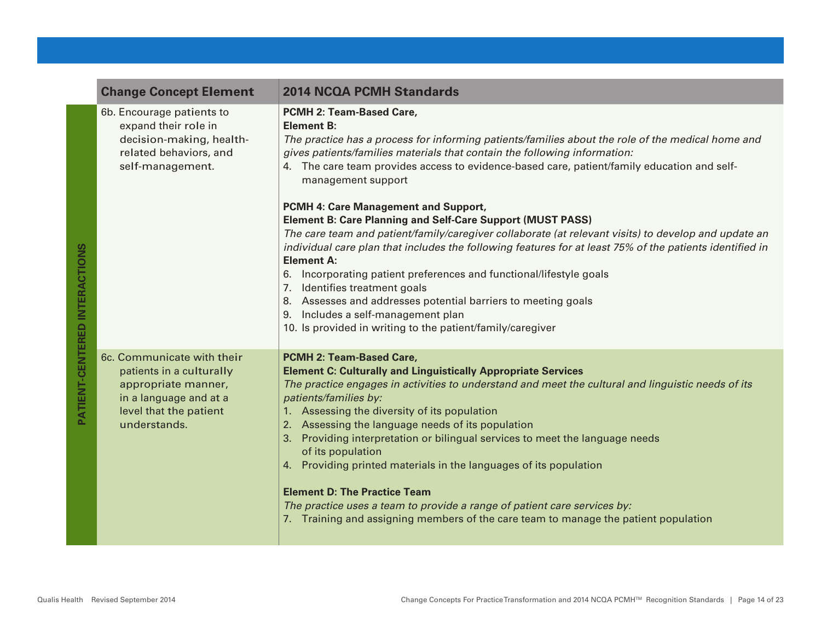|                                      | <b>Change Concept Element</b>                                                                                                                     | <b>2014 NCQA PCMH Standards</b>                                                                                                                                                                                                                                                                                                                                                                                                                                                                                                                                                                                                                                                                                                                                                                                                                                                                                                                                                         |
|--------------------------------------|---------------------------------------------------------------------------------------------------------------------------------------------------|-----------------------------------------------------------------------------------------------------------------------------------------------------------------------------------------------------------------------------------------------------------------------------------------------------------------------------------------------------------------------------------------------------------------------------------------------------------------------------------------------------------------------------------------------------------------------------------------------------------------------------------------------------------------------------------------------------------------------------------------------------------------------------------------------------------------------------------------------------------------------------------------------------------------------------------------------------------------------------------------|
| <b>PATIENT-CENTERED INTERACTIONS</b> | 6b. Encourage patients to<br>expand their role in<br>decision-making, health-<br>related behaviors, and<br>self-management.                       | PCMH 2: Team-Based Care,<br><b>Element B:</b><br>The practice has a process for informing patients/families about the role of the medical home and<br>gives patients/families materials that contain the following information:<br>4. The care team provides access to evidence-based care, patient/family education and self-<br>management support<br>PCMH 4: Care Management and Support,<br><b>Element B: Care Planning and Self-Care Support (MUST PASS)</b><br>The care team and patient/family/caregiver collaborate (at relevant visits) to develop and update an<br>individual care plan that includes the following features for at least 75% of the patients identified in<br><b>Element A:</b><br>6. Incorporating patient preferences and functional/lifestyle goals<br>7. Identifies treatment goals<br>8. Assesses and addresses potential barriers to meeting goals<br>9. Includes a self-management plan<br>10. Is provided in writing to the patient/family/caregiver |
|                                      | 6c. Communicate with their<br>patients in a culturally<br>appropriate manner,<br>in a language and at a<br>level that the patient<br>understands. | PCMH 2: Team-Based Care,<br><b>Element C: Culturally and Linguistically Appropriate Services</b><br>The practice engages in activities to understand and meet the cultural and linguistic needs of its<br>patients/families by:<br>1. Assessing the diversity of its population<br>2. Assessing the language needs of its population<br>3. Providing interpretation or bilingual services to meet the language needs<br>of its population<br>4. Providing printed materials in the languages of its population<br><b>Element D: The Practice Team</b><br>The practice uses a team to provide a range of patient care services by:<br>7. Training and assigning members of the care team to manage the patient population                                                                                                                                                                                                                                                                |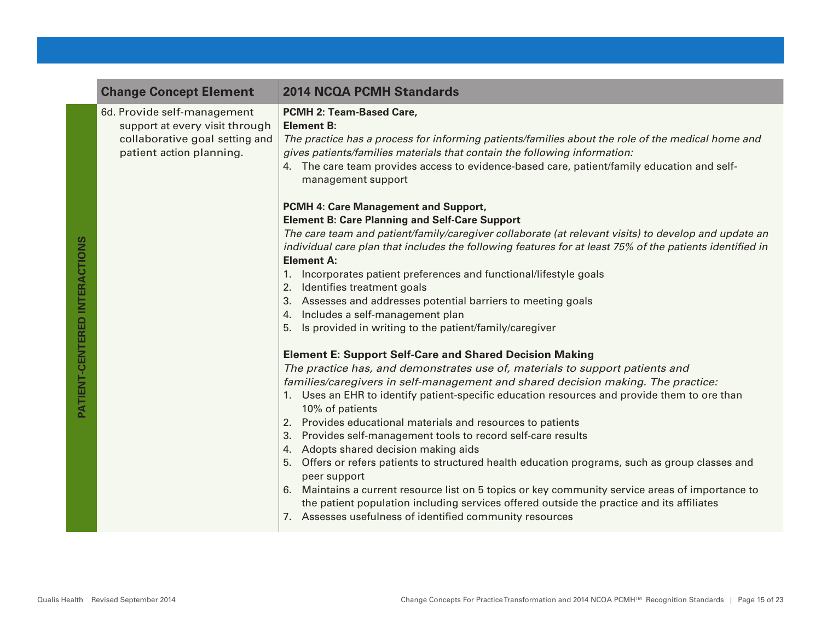| <b>Change Concept Element</b>                                                                                               | <b>2014 NCQA PCMH Standards</b>                                                                                                                                                                                                                                                                                                                                                                                                                                                                                                                                                                                                                                                                                                                                                                                                                                                                                                                                                                                                                                                                                                                                                                                                                                                                                                                                                                                                                                                                                                        |
|-----------------------------------------------------------------------------------------------------------------------------|----------------------------------------------------------------------------------------------------------------------------------------------------------------------------------------------------------------------------------------------------------------------------------------------------------------------------------------------------------------------------------------------------------------------------------------------------------------------------------------------------------------------------------------------------------------------------------------------------------------------------------------------------------------------------------------------------------------------------------------------------------------------------------------------------------------------------------------------------------------------------------------------------------------------------------------------------------------------------------------------------------------------------------------------------------------------------------------------------------------------------------------------------------------------------------------------------------------------------------------------------------------------------------------------------------------------------------------------------------------------------------------------------------------------------------------------------------------------------------------------------------------------------------------|
| 6d. Provide self-management<br>support at every visit through<br>collaborative goal setting and<br>patient action planning. | PCMH 2: Team-Based Care,<br><b>Element B:</b><br>The practice has a process for informing patients/families about the role of the medical home and<br>gives patients/families materials that contain the following information:<br>4. The care team provides access to evidence-based care, patient/family education and self-<br>management support                                                                                                                                                                                                                                                                                                                                                                                                                                                                                                                                                                                                                                                                                                                                                                                                                                                                                                                                                                                                                                                                                                                                                                                   |
|                                                                                                                             | PCMH 4: Care Management and Support,<br><b>Element B: Care Planning and Self-Care Support</b><br>The care team and patient/family/caregiver collaborate (at relevant visits) to develop and update an<br>individual care plan that includes the following features for at least 75% of the patients identified in<br><b>Element A:</b><br>Incorporates patient preferences and functional/lifestyle goals<br>1.<br>2. Identifies treatment goals<br>3. Assesses and addresses potential barriers to meeting goals<br>4. Includes a self-management plan<br>5. Is provided in writing to the patient/family/caregiver<br><b>Element E: Support Self-Care and Shared Decision Making</b><br>The practice has, and demonstrates use of, materials to support patients and<br>families/caregivers in self-management and shared decision making. The practice:<br>1. Uses an EHR to identify patient-specific education resources and provide them to ore than<br>10% of patients<br>2. Provides educational materials and resources to patients<br>3. Provides self-management tools to record self-care results<br>4. Adopts shared decision making aids<br>5. Offers or refers patients to structured health education programs, such as group classes and<br>peer support<br>6. Maintains a current resource list on 5 topics or key community service areas of importance to<br>the patient population including services offered outside the practice and its affiliates<br>7. Assesses usefulness of identified community resources |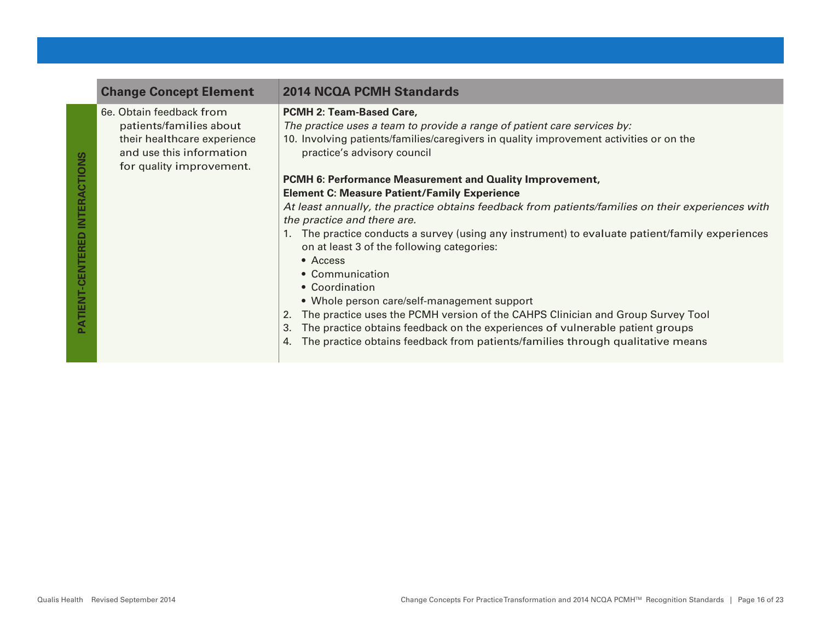| <b>Change Concept Element</b>                                                                                                              | <b>2014 NCQA PCMH Standards</b>                                                                                                                                                                                                                                                                                                                                                                                                                                                                                                                                                                                                                                                                                                                                                                                                                                                                                                                                                                                  |
|--------------------------------------------------------------------------------------------------------------------------------------------|------------------------------------------------------------------------------------------------------------------------------------------------------------------------------------------------------------------------------------------------------------------------------------------------------------------------------------------------------------------------------------------------------------------------------------------------------------------------------------------------------------------------------------------------------------------------------------------------------------------------------------------------------------------------------------------------------------------------------------------------------------------------------------------------------------------------------------------------------------------------------------------------------------------------------------------------------------------------------------------------------------------|
| 6e. Obtain feedback from<br>patients/families about<br>their healthcare experience<br>and use this information<br>for quality improvement. | <b>PCMH 2: Team-Based Care,</b><br>The practice uses a team to provide a range of patient care services by:<br>10. Involving patients/families/caregivers in quality improvement activities or on the<br>practice's advisory council<br>PCMH 6: Performance Measurement and Quality Improvement,<br><b>Element C: Measure Patient/Family Experience</b><br>At least annually, the practice obtains feedback from patients/families on their experiences with<br>the practice and there are.<br>1. The practice conducts a survey (using any instrument) to evaluate patient/family experiences<br>on at least 3 of the following categories:<br>$\bullet$ Access<br>• Communication<br>• Coordination<br>• Whole person care/self-management support<br>The practice uses the PCMH version of the CAHPS Clinician and Group Survey Tool<br>The practice obtains feedback on the experiences of vulnerable patient groups<br>3.<br>The practice obtains feedback from patients/families through qualitative means |

**PATIENT-CENTERED INTERACTIONS**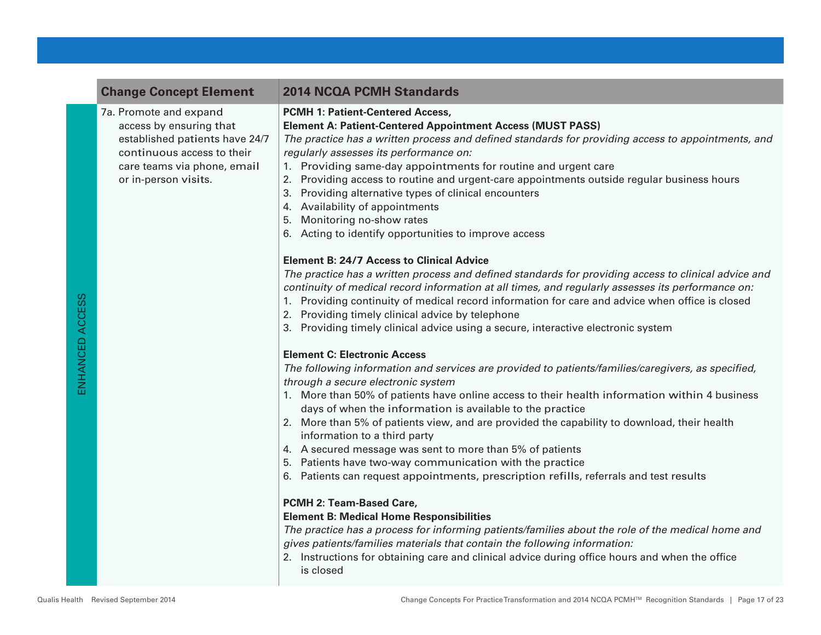|                 | <b>Change Concept Element</b>                                                                                                                                            | <b>2014 NCQA PCMH Standards</b>                                                                                                                                                                                                                                                                                                                                                                                                                                                                                                                                                                                                                                                                                                                                                                                                                                                                                                                                                                                                                                                                                                                                                                                                                                                                                                                                                                                                                                                                                                                                                                                                                                                                                                                                                                                                                                                                                                                                                                                                                                                                                                                                                                           |
|-----------------|--------------------------------------------------------------------------------------------------------------------------------------------------------------------------|-----------------------------------------------------------------------------------------------------------------------------------------------------------------------------------------------------------------------------------------------------------------------------------------------------------------------------------------------------------------------------------------------------------------------------------------------------------------------------------------------------------------------------------------------------------------------------------------------------------------------------------------------------------------------------------------------------------------------------------------------------------------------------------------------------------------------------------------------------------------------------------------------------------------------------------------------------------------------------------------------------------------------------------------------------------------------------------------------------------------------------------------------------------------------------------------------------------------------------------------------------------------------------------------------------------------------------------------------------------------------------------------------------------------------------------------------------------------------------------------------------------------------------------------------------------------------------------------------------------------------------------------------------------------------------------------------------------------------------------------------------------------------------------------------------------------------------------------------------------------------------------------------------------------------------------------------------------------------------------------------------------------------------------------------------------------------------------------------------------------------------------------------------------------------------------------------------------|
| ENHANCED ACCESS | 7a. Promote and expand<br>access by ensuring that<br>established patients have 24/7<br>continuous access to their<br>care teams via phone, email<br>or in-person visits. | <b>PCMH 1: Patient-Centered Access,</b><br><b>Element A: Patient-Centered Appointment Access (MUST PASS)</b><br>The practice has a written process and defined standards for providing access to appointments, and<br>regularly assesses its performance on:<br>1. Providing same-day appointments for routine and urgent care<br>2. Providing access to routine and urgent-care appointments outside regular business hours<br>Providing alternative types of clinical encounters<br>3.<br>4. Availability of appointments<br>Monitoring no-show rates<br>5.<br>6. Acting to identify opportunities to improve access<br><b>Element B: 24/7 Access to Clinical Advice</b><br>The practice has a written process and defined standards for providing access to clinical advice and<br>continuity of medical record information at all times, and regularly assesses its performance on:<br>1. Providing continuity of medical record information for care and advice when office is closed<br>2. Providing timely clinical advice by telephone<br>3. Providing timely clinical advice using a secure, interactive electronic system<br><b>Element C: Electronic Access</b><br>The following information and services are provided to patients/families/caregivers, as specified,<br>through a secure electronic system<br>1. More than 50% of patients have online access to their health information within 4 business<br>days of when the information is available to the practice<br>2. More than 5% of patients view, and are provided the capability to download, their health<br>information to a third party<br>4. A secured message was sent to more than 5% of patients<br>5. Patients have two-way communication with the practice<br>6. Patients can request appointments, prescription refills, referrals and test results<br>PCMH 2: Team-Based Care,<br><b>Element B: Medical Home Responsibilities</b><br>The practice has a process for informing patients/families about the role of the medical home and<br>gives patients/families materials that contain the following information:<br>2. Instructions for obtaining care and clinical advice during office hours and when the office |
|                 |                                                                                                                                                                          |                                                                                                                                                                                                                                                                                                                                                                                                                                                                                                                                                                                                                                                                                                                                                                                                                                                                                                                                                                                                                                                                                                                                                                                                                                                                                                                                                                                                                                                                                                                                                                                                                                                                                                                                                                                                                                                                                                                                                                                                                                                                                                                                                                                                           |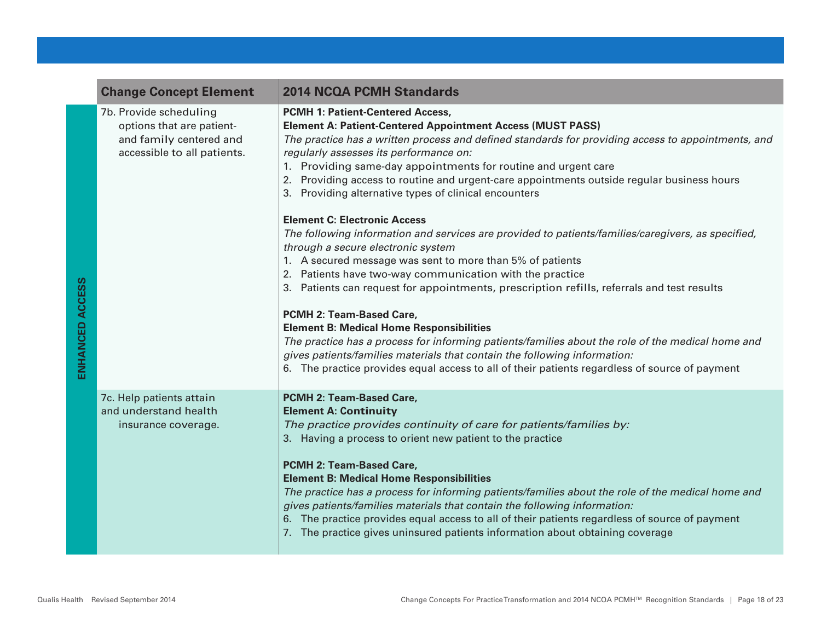|                 | <b>Change Concept Element</b>                                                                                 | <b>2014 NCQA PCMH Standards</b>                                                                                                                                                                                                                                                                                                                                                                                                                                                                                                                                                                                                                                                                                                    |
|-----------------|---------------------------------------------------------------------------------------------------------------|------------------------------------------------------------------------------------------------------------------------------------------------------------------------------------------------------------------------------------------------------------------------------------------------------------------------------------------------------------------------------------------------------------------------------------------------------------------------------------------------------------------------------------------------------------------------------------------------------------------------------------------------------------------------------------------------------------------------------------|
|                 | 7b. Provide scheduling<br>options that are patient-<br>and family centered and<br>accessible to all patients. | <b>PCMH 1: Patient-Centered Access,</b><br><b>Element A: Patient-Centered Appointment Access (MUST PASS)</b><br>The practice has a written process and defined standards for providing access to appointments, and<br>regularly assesses its performance on:<br>1. Providing same-day appointments for routine and urgent care<br>2. Providing access to routine and urgent-care appointments outside regular business hours<br>3. Providing alternative types of clinical encounters<br><b>Element C: Electronic Access</b>                                                                                                                                                                                                       |
| ENHANCED ACCESS |                                                                                                               | The following information and services are provided to patients/families/caregivers, as specified,<br>through a secure electronic system<br>1. A secured message was sent to more than 5% of patients<br>2. Patients have two-way communication with the practice<br>3. Patients can request for appointments, prescription refills, referrals and test results<br>PCMH 2: Team-Based Care,<br><b>Element B: Medical Home Responsibilities</b><br>The practice has a process for informing patients/families about the role of the medical home and<br>gives patients/families materials that contain the following information:<br>6. The practice provides equal access to all of their patients regardless of source of payment |
|                 | 7c. Help patients attain<br>and understand health<br>insurance coverage.                                      | <b>PCMH 2: Team-Based Care,</b><br><b>Element A: Continuity</b><br>The practice provides continuity of care for patients/families by:<br>3. Having a process to orient new patient to the practice<br><b>PCMH 2: Team-Based Care,</b><br><b>Element B: Medical Home Responsibilities</b><br>The practice has a process for informing patients/families about the role of the medical home and<br>gives patients/families materials that contain the following information:<br>6. The practice provides equal access to all of their patients regardless of source of payment<br>7. The practice gives uninsured patients information about obtaining coverage                                                                      |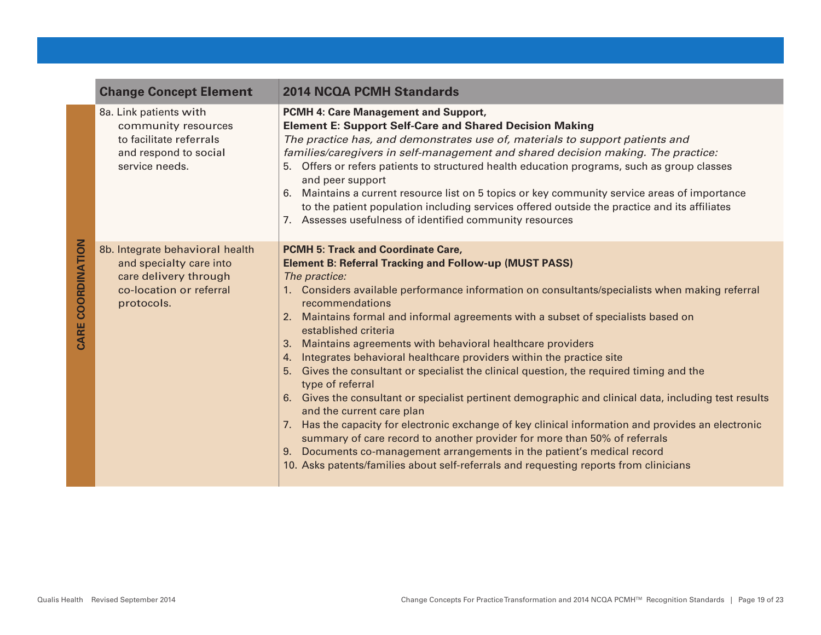|                             | <b>Change Concept Element</b>                                                                                                | <b>2014 NCQA PCMH Standards</b>                                                                                                                                                                                                                                                                                                                                                                                                                                                                                                                                                                                                                                                                                                                                                                                                                                                                                                                                                                                                                                                                                                        |
|-----------------------------|------------------------------------------------------------------------------------------------------------------------------|----------------------------------------------------------------------------------------------------------------------------------------------------------------------------------------------------------------------------------------------------------------------------------------------------------------------------------------------------------------------------------------------------------------------------------------------------------------------------------------------------------------------------------------------------------------------------------------------------------------------------------------------------------------------------------------------------------------------------------------------------------------------------------------------------------------------------------------------------------------------------------------------------------------------------------------------------------------------------------------------------------------------------------------------------------------------------------------------------------------------------------------|
| <b>COORDINATION</b><br>CARE | 8a. Link patients with<br>community resources<br>to facilitate referrals<br>and respond to social<br>service needs.          | PCMH 4: Care Management and Support,<br><b>Element E: Support Self-Care and Shared Decision Making</b><br>The practice has, and demonstrates use of, materials to support patients and<br>families/caregivers in self-management and shared decision making. The practice:<br>Offers or refers patients to structured health education programs, such as group classes<br>5.<br>and peer support<br>Maintains a current resource list on 5 topics or key community service areas of importance<br>6.<br>to the patient population including services offered outside the practice and its affiliates<br>7. Assesses usefulness of identified community resources                                                                                                                                                                                                                                                                                                                                                                                                                                                                       |
|                             | 8b. Integrate behavioral health<br>and specialty care into<br>care delivery through<br>co-location or referral<br>protocols. | <b>PCMH 5: Track and Coordinate Care,</b><br><b>Element B: Referral Tracking and Follow-up (MUST PASS)</b><br>The practice:<br>1. Considers available performance information on consultants/specialists when making referral<br>recommendations<br>Maintains formal and informal agreements with a subset of specialists based on<br>2.<br>established criteria<br>Maintains agreements with behavioral healthcare providers<br>3.<br>Integrates behavioral healthcare providers within the practice site<br>4.<br>Gives the consultant or specialist the clinical question, the required timing and the<br>5.<br>type of referral<br>Gives the consultant or specialist pertinent demographic and clinical data, including test results<br>6.<br>and the current care plan<br>7. Has the capacity for electronic exchange of key clinical information and provides an electronic<br>summary of care record to another provider for more than 50% of referrals<br>Documents co-management arrangements in the patient's medical record<br>9.<br>10. Asks patents/families about self-referrals and requesting reports from clinicians |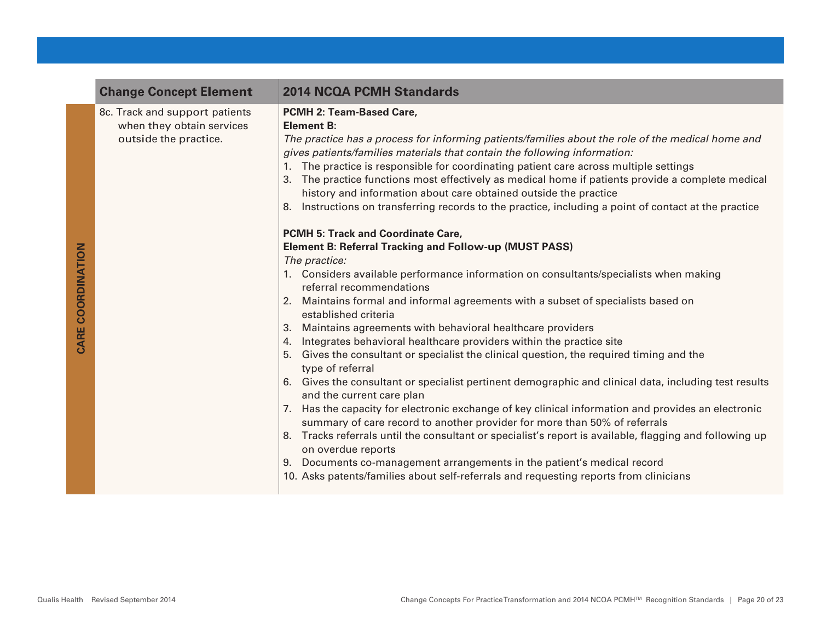| <b>Change Concept Element</b>                                                        | <b>2014 NCQA PCMH Standards</b>                                                                                                                                                                                                                                                                                                                                                                                                                                                                                                                                                                                                  |
|--------------------------------------------------------------------------------------|----------------------------------------------------------------------------------------------------------------------------------------------------------------------------------------------------------------------------------------------------------------------------------------------------------------------------------------------------------------------------------------------------------------------------------------------------------------------------------------------------------------------------------------------------------------------------------------------------------------------------------|
| 8c. Track and support patients<br>when they obtain services<br>outside the practice. | PCMH 2: Team-Based Care,<br><b>Element B:</b><br>The practice has a process for informing patients/families about the role of the medical home and<br>gives patients/families materials that contain the following information:<br>The practice is responsible for coordinating patient care across multiple settings<br>The practice functions most effectively as medical home if patients provide a complete medical<br>3.<br>history and information about care obtained outside the practice<br>Instructions on transferring records to the practice, including a point of contact at the practice<br>8.                    |
|                                                                                      | <b>PCMH 5: Track and Coordinate Care,</b><br><b>Element B: Referral Tracking and Follow-up (MUST PASS)</b><br>The practice:<br>1. Considers available performance information on consultants/specialists when making<br>referral recommendations<br>Maintains formal and informal agreements with a subset of specialists based on<br>2.<br>established criteria<br>Maintains agreements with behavioral healthcare providers<br>3.<br>Integrates behavioral healthcare providers within the practice site<br>4.<br>5. Gives the consultant or specialist the clinical question, the required timing and the<br>type of referral |
|                                                                                      | 6. Gives the consultant or specialist pertinent demographic and clinical data, including test results<br>and the current care plan<br>7. Has the capacity for electronic exchange of key clinical information and provides an electronic<br>summary of care record to another provider for more than 50% of referrals<br>8. Tracks referrals until the consultant or specialist's report is available, flagging and following up<br>on overdue reports<br>9. Documents co-management arrangements in the patient's medical record<br>10. Asks patents/families about self-referrals and requesting reports from clinicians       |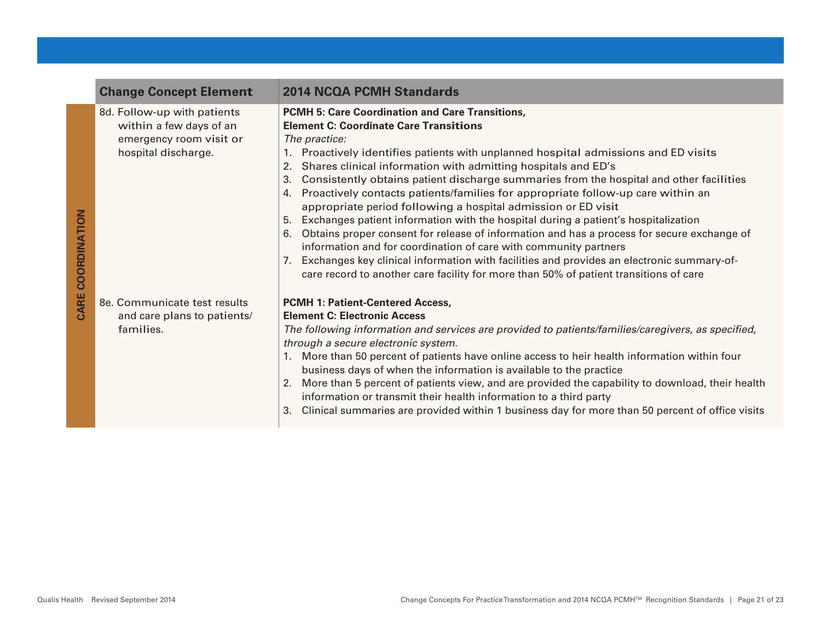|                   | <b>Change Concept Element</b>                                                                            | <b>2014 NCQA PCMH Standards</b>                                                                                                                                                                                                                                                                                                                                                                                                                                                                                                                                                                                                                                                                                                                                                                                                                                                                                                                                                                         |
|-------------------|----------------------------------------------------------------------------------------------------------|---------------------------------------------------------------------------------------------------------------------------------------------------------------------------------------------------------------------------------------------------------------------------------------------------------------------------------------------------------------------------------------------------------------------------------------------------------------------------------------------------------------------------------------------------------------------------------------------------------------------------------------------------------------------------------------------------------------------------------------------------------------------------------------------------------------------------------------------------------------------------------------------------------------------------------------------------------------------------------------------------------|
| CARE COORDINATION | 8d. Follow-up with patients<br>within a few days of an<br>emergency room visit or<br>hospital discharge. | PCMH 5: Care Coordination and Care Transitions,<br><b>Element C: Coordinate Care Transitions</b><br>The practice:<br>Proactively identifies patients with unplanned hospital admissions and ED visits<br>Shares clinical information with admitting hospitals and ED's<br>2.<br>Consistently obtains patient discharge summaries from the hospital and other facilities<br>3.<br>Proactively contacts patients/families for appropriate follow-up care within an<br>4.<br>appropriate period following a hospital admission or ED visit<br>Exchanges patient information with the hospital during a patient's hospitalization<br>5.<br>Obtains proper consent for release of information and has a process for secure exchange of<br>6.<br>information and for coordination of care with community partners<br>Exchanges key clinical information with facilities and provides an electronic summary-of-<br>7.<br>care record to another care facility for more than 50% of patient transitions of care |
|                   | 8e. Communicate test results                                                                             | <b>PCMH 1: Patient-Centered Access,</b>                                                                                                                                                                                                                                                                                                                                                                                                                                                                                                                                                                                                                                                                                                                                                                                                                                                                                                                                                                 |
|                   | and care plans to patients/                                                                              | <b>Element C: Electronic Access</b>                                                                                                                                                                                                                                                                                                                                                                                                                                                                                                                                                                                                                                                                                                                                                                                                                                                                                                                                                                     |
|                   | families.                                                                                                | The following information and services are provided to patients/families/caregivers, as specified,<br>through a secure electronic system.<br>More than 50 percent of patients have online access to heir health information within four<br>business days of when the information is available to the practice<br>More than 5 percent of patients view, and are provided the capability to download, their health<br>2.<br>information or transmit their health information to a third party<br>Clinical summaries are provided within 1 business day for more than 50 percent of office visits                                                                                                                                                                                                                                                                                                                                                                                                          |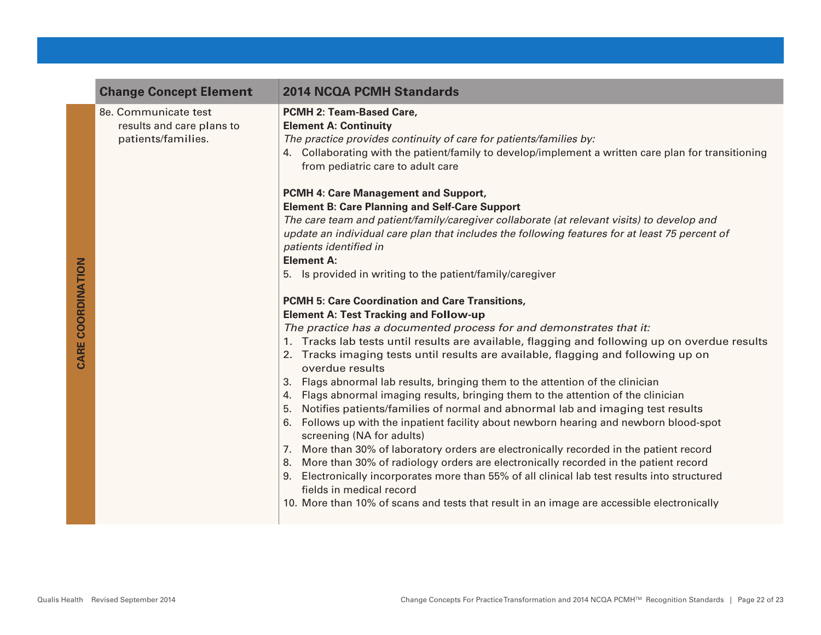|                          | <b>Change Concept Element</b>                                           | <b>2014 NCQA PCMH Standards</b>                                                                                                                                                                                                                                                                                                                                                                                                                                                                                                                                                                                                                                                                                                                                                                                                                                                                                                                                                                                                                                                                                                                                                                                                                                                                                                                                                                                                                                                                                                                                                                          |
|--------------------------|-------------------------------------------------------------------------|----------------------------------------------------------------------------------------------------------------------------------------------------------------------------------------------------------------------------------------------------------------------------------------------------------------------------------------------------------------------------------------------------------------------------------------------------------------------------------------------------------------------------------------------------------------------------------------------------------------------------------------------------------------------------------------------------------------------------------------------------------------------------------------------------------------------------------------------------------------------------------------------------------------------------------------------------------------------------------------------------------------------------------------------------------------------------------------------------------------------------------------------------------------------------------------------------------------------------------------------------------------------------------------------------------------------------------------------------------------------------------------------------------------------------------------------------------------------------------------------------------------------------------------------------------------------------------------------------------|
|                          | 8e. Communicate test<br>results and care plans to<br>patients/families. | PCMH 2: Team-Based Care,<br><b>Element A: Continuity</b><br>The practice provides continuity of care for patients/families by:<br>4. Collaborating with the patient/family to develop/implement a written care plan for transitioning<br>from pediatric care to adult care                                                                                                                                                                                                                                                                                                                                                                                                                                                                                                                                                                                                                                                                                                                                                                                                                                                                                                                                                                                                                                                                                                                                                                                                                                                                                                                               |
| <b>SANE COONDINATION</b> |                                                                         | PCMH 4: Care Management and Support,<br><b>Element B: Care Planning and Self-Care Support</b><br>The care team and patient/family/caregiver collaborate (at relevant visits) to develop and<br>update an individual care plan that includes the following features for at least 75 percent of<br>patients identified in<br><b>Element A:</b><br>5. Is provided in writing to the patient/family/caregiver<br><b>PCMH 5: Care Coordination and Care Transitions,</b><br><b>Element A: Test Tracking and Follow-up</b><br>The practice has a documented process for and demonstrates that it:<br>1. Tracks lab tests until results are available, flagging and following up on overdue results<br>2. Tracks imaging tests until results are available, flagging and following up on<br>overdue results<br>3. Flags abnormal lab results, bringing them to the attention of the clinician<br>4. Flags abnormal imaging results, bringing them to the attention of the clinician<br>5. Notifies patients/families of normal and abnormal lab and imaging test results<br>6. Follows up with the inpatient facility about newborn hearing and newborn blood-spot<br>screening (NA for adults)<br>7. More than 30% of laboratory orders are electronically recorded in the patient record<br>8. More than 30% of radiology orders are electronically recorded in the patient record<br>9. Electronically incorporates more than 55% of all clinical lab test results into structured<br>fields in medical record<br>10. More than 10% of scans and tests that result in an image are accessible electronically |